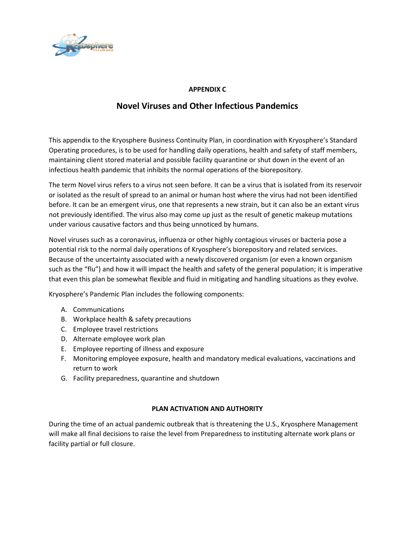

### **APPENDIX C**

# **Novel Viruses and Other Infectious Pandemics**

This appendix to the Kryosphere Business Continuity Plan, in coordination with Kryosphere's Standard Operating procedures, is to be used for handling daily operations, health and safety of staff members, maintaining client stored material and possible facility quarantine or shut down in the event of an infectious health pandemic that inhibits the normal operations of the biorepository.

The term Novel virus refers to a virus not seen before. It can be a virus that is isolated from its reservoir or isolated as the result of spread to an animal or human host where the virus had not been identified before. It can be an emergent virus, one that represents a new strain, but it can also be an extant virus not previously identified. The virus also may come up just as the result of genetic makeup mutations under various causative factors and thus being unnoticed by humans.

Novel viruses such as a coronavirus, influenza or other highly contagious viruses or bacteria pose a potential risk to the normal daily operations of Kryosphere's biorepository and related services. Because of the uncertainty associated with a newly discovered organism (or even a known organism such as the "flu") and how it will impact the health and safety of the general population; it is imperative that even this plan be somewhat flexible and fluid in mitigating and handling situations as they evolve.

Kryosphere's Pandemic Plan includes the following components:

- A. Communications
- B. Workplace health & safety precautions
- C. Employee travel restrictions
- D. Alternate employee work plan
- E. Employee reporting of illness and exposure
- F. Monitoring employee exposure, health and mandatory medical evaluations, vaccinations and return to work
- G. Facility preparedness, quarantine and shutdown

#### **PLAN ACTIVATION AND AUTHORITY**

During the time of an actual pandemic outbreak that is threatening the U.S., Kryosphere Management will make all final decisions to raise the level from Preparedness to instituting alternate work plans or facility partial or full closure.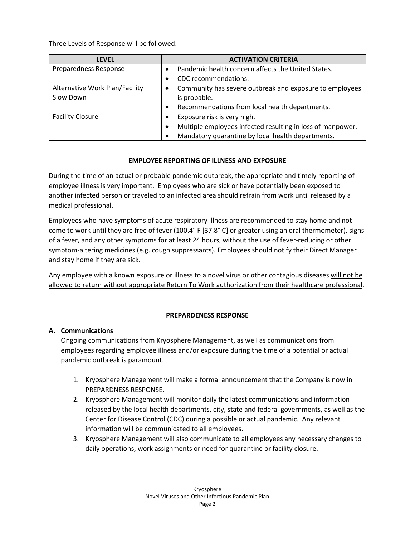Three Levels of Response will be followed:

| <b>LEVEL</b>                   | <b>ACTIVATION CRITERIA</b>                                              |
|--------------------------------|-------------------------------------------------------------------------|
| Preparedness Response          | Pandemic health concern affects the United States.                      |
|                                | CDC recommendations.<br>$\bullet$                                       |
| Alternative Work Plan/Facility | Community has severe outbreak and exposure to employees                 |
| Slow Down                      | is probable.                                                            |
|                                | Recommendations from local health departments.<br>$\bullet$             |
| <b>Facility Closure</b>        | Exposure risk is very high.<br>$\bullet$                                |
|                                | Multiple employees infected resulting in loss of manpower.<br>$\bullet$ |
|                                | Mandatory quarantine by local health departments.<br>$\bullet$          |

### **EMPLOYEE REPORTING OF ILLNESS AND EXPOSURE**

During the time of an actual or probable pandemic outbreak, the appropriate and timely reporting of employee illness is very important. Employees who are sick or have potentially been exposed to another infected person or traveled to an infected area should refrain from work until released by a medical professional.

Employees who have symptoms of acute respiratory illness are recommended to stay home and not come to work until they are free of fever (100.4° F [37.8° C] or greater using an oral thermometer), signs of a fever, and any other symptoms for at least 24 hours, without the use of fever-reducing or other symptom-altering medicines (e.g. cough suppressants). Employees should notify their Direct Manager and stay home if they are sick.

Any employee with a known exposure or illness to a novel virus or other contagious diseases will not be allowed to return without appropriate Return To Work authorization from their healthcare professional.

#### **PREPARDENESS RESPONSE**

#### **A. Communications**

Ongoing communications from Kryosphere Management, as well as communications from employees regarding employee illness and/or exposure during the time of a potential or actual pandemic outbreak is paramount.

- 1. Kryosphere Management will make a formal announcement that the Company is now in PREPARDNESS RESPONSE.
- 2. Kryosphere Management will monitor daily the latest communications and information released by the local health departments, city, state and federal governments, as well as the Center for Disease Control (CDC) during a possible or actual pandemic. Any relevant information will be communicated to all employees.
- 3. Kryosphere Management will also communicate to all employees any necessary changes to daily operations, work assignments or need for quarantine or facility closure.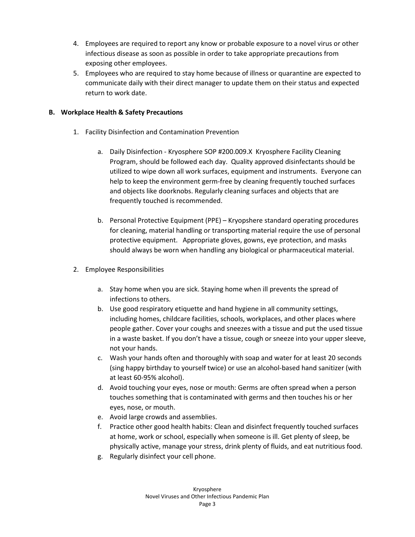- 4. Employees are required to report any know or probable exposure to a novel virus or other infectious disease as soon as possible in order to take appropriate precautions from exposing other employees.
- 5. Employees who are required to stay home because of illness or quarantine are expected to communicate daily with their direct manager to update them on their status and expected return to work date.

# **B. Workplace Health & Safety Precautions**

- 1. Facility Disinfection and Contamination Prevention
	- a. Daily Disinfection Kryosphere SOP #200.009.X Kryosphere Facility Cleaning Program, should be followed each day. Quality approved disinfectants should be utilized to wipe down all work surfaces, equipment and instruments. Everyone can help to keep the environment germ-free by cleaning frequently touched surfaces and objects like doorknobs. Regularly cleaning surfaces and objects that are frequently touched is recommended.
	- b. Personal Protective Equipment (PPE) Kryopshere standard operating procedures for cleaning, material handling or transporting material require the use of personal protective equipment. Appropriate gloves, gowns, eye protection, and masks should always be worn when handling any biological or pharmaceutical material.
- 2. Employee Responsibilities
	- a. Stay home when you are sick. Staying home when ill prevents the spread of infections to others.
	- b. Use good respiratory etiquette and hand hygiene in all community settings, including homes, childcare facilities, schools, workplaces, and other places where people gather. Cover your coughs and sneezes with a tissue and put the used tissue in a waste basket. If you don't have a tissue, cough or sneeze into your upper sleeve, not your hands.
	- c. Wash your hands often and thoroughly with soap and water for at least 20 seconds (sing happy birthday to yourself twice) or use an alcohol-based hand sanitizer (with at least 60-95% alcohol).
	- d. Avoid touching your eyes, nose or mouth: Germs are often spread when a person touches something that is contaminated with germs and then touches his or her eyes, nose, or mouth.
	- e. Avoid large crowds and assemblies.
	- f. Practice other good health habits: Clean and disinfect frequently touched surfaces at home, work or school, especially when someone is ill. Get plenty of sleep, be physically active, manage your stress, drink plenty of fluids, and eat nutritious food.
	- g. Regularly disinfect your cell phone.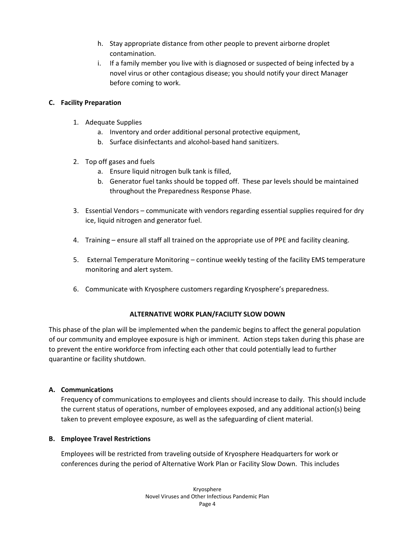- h. Stay appropriate distance from other people to prevent airborne droplet contamination.
- i. If a family member you live with is diagnosed or suspected of being infected by a novel virus or other contagious disease; you should notify your direct Manager before coming to work.

### **C. Facility Preparation**

- 1. Adequate Supplies
	- a. Inventory and order additional personal protective equipment,
	- b. Surface disinfectants and alcohol-based hand sanitizers.
- 2. Top off gases and fuels
	- a. Ensure liquid nitrogen bulk tank is filled,
	- b. Generator fuel tanks should be topped off. These par levels should be maintained throughout the Preparedness Response Phase.
- 3. Essential Vendors communicate with vendors regarding essential supplies required for dry ice, liquid nitrogen and generator fuel.
- 4. Training ensure all staff all trained on the appropriate use of PPE and facility cleaning.
- 5. External Temperature Monitoring continue weekly testing of the facility EMS temperature monitoring and alert system.
- 6. Communicate with Kryosphere customers regarding Kryosphere's preparedness.

#### **ALTERNATIVE WORK PLAN/FACILITY SLOW DOWN**

This phase of the plan will be implemented when the pandemic begins to affect the general population of our community and employee exposure is high or imminent. Action steps taken during this phase are to prevent the entire workforce from infecting each other that could potentially lead to further quarantine or facility shutdown.

#### **A. Communications**

Frequency of communications to employees and clients should increase to daily. This should include the current status of operations, number of employees exposed, and any additional action(s) being taken to prevent employee exposure, as well as the safeguarding of client material.

#### **B. Employee Travel Restrictions**

Employees will be restricted from traveling outside of Kryosphere Headquarters for work or conferences during the period of Alternative Work Plan or Facility Slow Down. This includes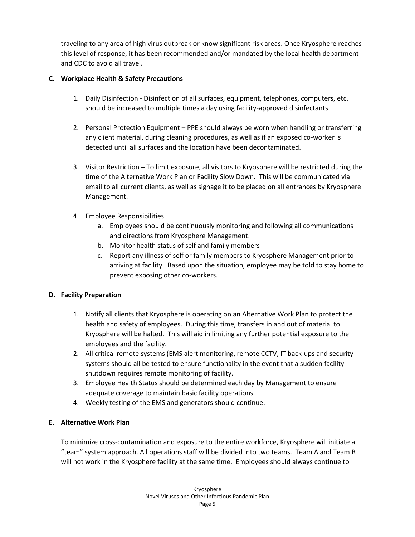traveling to any area of high virus outbreak or know significant risk areas. Once Kryosphere reaches this level of response, it has been recommended and/or mandated by the local health department and CDC to avoid all travel.

# **C. Workplace Health & Safety Precautions**

- 1. Daily Disinfection Disinfection of all surfaces, equipment, telephones, computers, etc. should be increased to multiple times a day using facility-approved disinfectants.
- 2. Personal Protection Equipment PPE should always be worn when handling or transferring any client material, during cleaning procedures, as well as if an exposed co-worker is detected until all surfaces and the location have been decontaminated.
- 3. Visitor Restriction To limit exposure, all visitors to Kryosphere will be restricted during the time of the Alternative Work Plan or Facility Slow Down. This will be communicated via email to all current clients, as well as signage it to be placed on all entrances by Kryosphere Management.
- 4. Employee Responsibilities
	- a. Employees should be continuously monitoring and following all communications and directions from Kryosphere Management.
	- b. Monitor health status of self and family members
	- c. Report any illness of self or family members to Kryosphere Management prior to arriving at facility. Based upon the situation, employee may be told to stay home to prevent exposing other co-workers.

#### **D. Facility Preparation**

- 1. Notify all clients that Kryosphere is operating on an Alternative Work Plan to protect the health and safety of employees. During this time, transfers in and out of material to Kryosphere will be halted. This will aid in limiting any further potential exposure to the employees and the facility.
- 2. All critical remote systems (EMS alert monitoring, remote CCTV, IT back-ups and security systems should all be tested to ensure functionality in the event that a sudden facility shutdown requires remote monitoring of facility.
- 3. Employee Health Status should be determined each day by Management to ensure adequate coverage to maintain basic facility operations.
- 4. Weekly testing of the EMS and generators should continue.

# **E. Alternative Work Plan**

To minimize cross-contamination and exposure to the entire workforce, Kryosphere will initiate a "team" system approach. All operations staff will be divided into two teams. Team A and Team B will not work in the Kryosphere facility at the same time. Employees should always continue to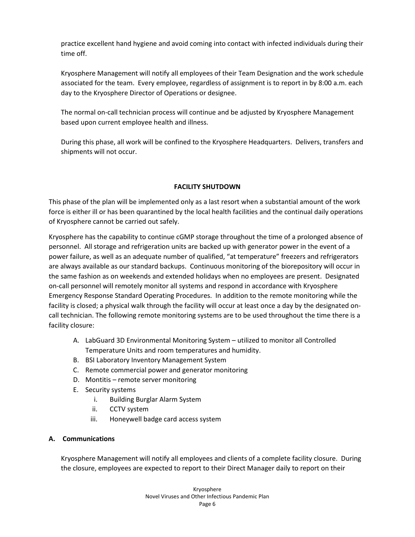practice excellent hand hygiene and avoid coming into contact with infected individuals during their time off.

Kryosphere Management will notify all employees of their Team Designation and the work schedule associated for the team. Every employee, regardless of assignment is to report in by 8:00 a.m. each day to the Kryosphere Director of Operations or designee.

The normal on-call technician process will continue and be adjusted by Kryosphere Management based upon current employee health and illness.

During this phase, all work will be confined to the Kryosphere Headquarters. Delivers, transfers and shipments will not occur.

# **FACILITY SHUTDOWN**

This phase of the plan will be implemented only as a last resort when a substantial amount of the work force is either ill or has been quarantined by the local health facilities and the continual daily operations of Kryosphere cannot be carried out safely.

Kryosphere has the capability to continue cGMP storage throughout the time of a prolonged absence of personnel. All storage and refrigeration units are backed up with generator power in the event of a power failure, as well as an adequate number of qualified, "at temperature" freezers and refrigerators are always available as our standard backups. Continuous monitoring of the biorepository will occur in the same fashion as on weekends and extended holidays when no employees are present. Designated on-call personnel will remotely monitor all systems and respond in accordance with Kryosphere Emergency Response Standard Operating Procedures. In addition to the remote monitoring while the facility is closed; a physical walk through the facility will occur at least once a day by the designated oncall technician. The following remote monitoring systems are to be used throughout the time there is a facility closure:

- A. LabGuard 3D Environmental Monitoring System utilized to monitor all Controlled Temperature Units and room temperatures and humidity.
- B. BSI Laboratory Inventory Management System
- C. Remote commercial power and generator monitoring
- D. Montitis remote server monitoring
- E. Security systems
	- i. Building Burglar Alarm System
	- ii. CCTV system
	- iii. Honeywell badge card access system

# **A. Communications**

Kryosphere Management will notify all employees and clients of a complete facility closure. During the closure, employees are expected to report to their Direct Manager daily to report on their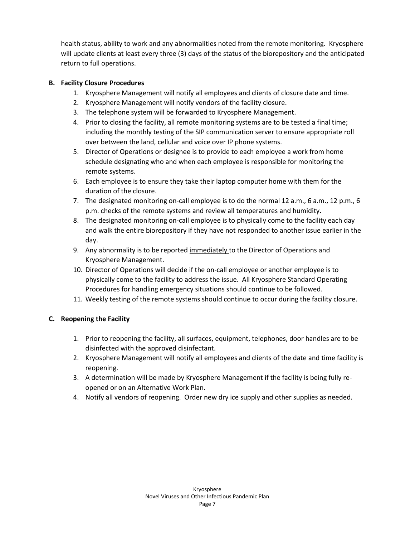health status, ability to work and any abnormalities noted from the remote monitoring. Kryosphere will update clients at least every three (3) days of the status of the biorepository and the anticipated return to full operations.

### **B. Facility Closure Procedures**

- 1. Kryosphere Management will notify all employees and clients of closure date and time.
- 2. Kryosphere Management will notify vendors of the facility closure.
- 3. The telephone system will be forwarded to Kryosphere Management.
- 4. Prior to closing the facility, all remote monitoring systems are to be tested a final time; including the monthly testing of the SIP communication server to ensure appropriate roll over between the land, cellular and voice over IP phone systems.
- 5. Director of Operations or designee is to provide to each employee a work from home schedule designating who and when each employee is responsible for monitoring the remote systems.
- 6. Each employee is to ensure they take their laptop computer home with them for the duration of the closure.
- 7. The designated monitoring on-call employee is to do the normal 12 a.m., 6 a.m., 12 p.m., 6 p.m. checks of the remote systems and review all temperatures and humidity.
- 8. The designated monitoring on-call employee is to physically come to the facility each day and walk the entire biorepository if they have not responded to another issue earlier in the day.
- 9. Any abnormality is to be reported immediately to the Director of Operations and Kryosphere Management.
- 10. Director of Operations will decide if the on-call employee or another employee is to physically come to the facility to address the issue. All Kryosphere Standard Operating Procedures for handling emergency situations should continue to be followed.
- 11. Weekly testing of the remote systems should continue to occur during the facility closure.

# **C. Reopening the Facility**

- 1. Prior to reopening the facility, all surfaces, equipment, telephones, door handles are to be disinfected with the approved disinfectant.
- 2. Kryosphere Management will notify all employees and clients of the date and time facility is reopening.
- 3. A determination will be made by Kryosphere Management if the facility is being fully reopened or on an Alternative Work Plan.
- 4. Notify all vendors of reopening. Order new dry ice supply and other supplies as needed.